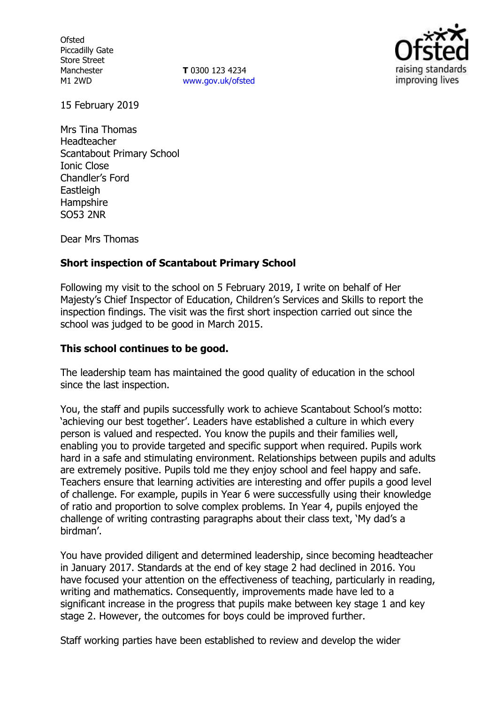**Ofsted** Piccadilly Gate Store Street Manchester M1 2WD

**T** 0300 123 4234 www.gov.uk/ofsted



15 February 2019

Mrs Tina Thomas Headteacher Scantabout Primary School Ionic Close Chandler's Ford **Eastleigh Hampshire** SO53 2NR

Dear Mrs Thomas

# **Short inspection of Scantabout Primary School**

Following my visit to the school on 5 February 2019, I write on behalf of Her Majesty's Chief Inspector of Education, Children's Services and Skills to report the inspection findings. The visit was the first short inspection carried out since the school was judged to be good in March 2015.

# **This school continues to be good.**

The leadership team has maintained the good quality of education in the school since the last inspection.

You, the staff and pupils successfully work to achieve Scantabout School's motto: 'achieving our best together'. Leaders have established a culture in which every person is valued and respected. You know the pupils and their families well, enabling you to provide targeted and specific support when required. Pupils work hard in a safe and stimulating environment. Relationships between pupils and adults are extremely positive. Pupils told me they enjoy school and feel happy and safe. Teachers ensure that learning activities are interesting and offer pupils a good level of challenge. For example, pupils in Year 6 were successfully using their knowledge of ratio and proportion to solve complex problems. In Year 4, pupils enjoyed the challenge of writing contrasting paragraphs about their class text, 'My dad's a birdman'.

You have provided diligent and determined leadership, since becoming headteacher in January 2017. Standards at the end of key stage 2 had declined in 2016. You have focused your attention on the effectiveness of teaching, particularly in reading, writing and mathematics. Consequently, improvements made have led to a significant increase in the progress that pupils make between key stage 1 and key stage 2. However, the outcomes for boys could be improved further.

Staff working parties have been established to review and develop the wider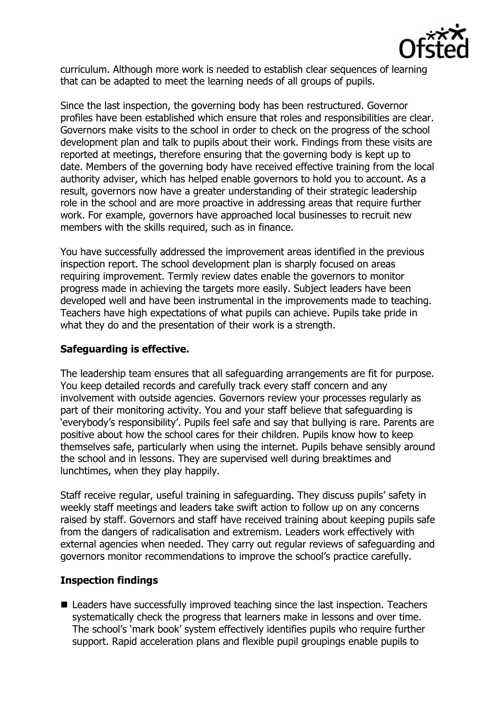

curriculum. Although more work is needed to establish clear sequences of learning that can be adapted to meet the learning needs of all groups of pupils.

Since the last inspection, the governing body has been restructured. Governor profiles have been established which ensure that roles and responsibilities are clear. Governors make visits to the school in order to check on the progress of the school development plan and talk to pupils about their work. Findings from these visits are reported at meetings, therefore ensuring that the governing body is kept up to date. Members of the governing body have received effective training from the local authority adviser, which has helped enable governors to hold you to account. As a result, governors now have a greater understanding of their strategic leadership role in the school and are more proactive in addressing areas that require further work. For example, governors have approached local businesses to recruit new members with the skills required, such as in finance.

You have successfully addressed the improvement areas identified in the previous inspection report. The school development plan is sharply focused on areas requiring improvement. Termly review dates enable the governors to monitor progress made in achieving the targets more easily. Subject leaders have been developed well and have been instrumental in the improvements made to teaching. Teachers have high expectations of what pupils can achieve. Pupils take pride in what they do and the presentation of their work is a strength.

# **Safeguarding is effective.**

The leadership team ensures that all safeguarding arrangements are fit for purpose. You keep detailed records and carefully track every staff concern and any involvement with outside agencies. Governors review your processes regularly as part of their monitoring activity. You and your staff believe that safeguarding is 'everybody's responsibility'. Pupils feel safe and say that bullying is rare. Parents are positive about how the school cares for their children. Pupils know how to keep themselves safe, particularly when using the internet. Pupils behave sensibly around the school and in lessons. They are supervised well during breaktimes and lunchtimes, when they play happily.

Staff receive regular, useful training in safeguarding. They discuss pupils' safety in weekly staff meetings and leaders take swift action to follow up on any concerns raised by staff. Governors and staff have received training about keeping pupils safe from the dangers of radicalisation and extremism. Leaders work effectively with external agencies when needed. They carry out regular reviews of safeguarding and governors monitor recommendations to improve the school's practice carefully.

### **Inspection findings**

■ Leaders have successfully improved teaching since the last inspection. Teachers systematically check the progress that learners make in lessons and over time. The school's 'mark book' system effectively identifies pupils who require further support. Rapid acceleration plans and flexible pupil groupings enable pupils to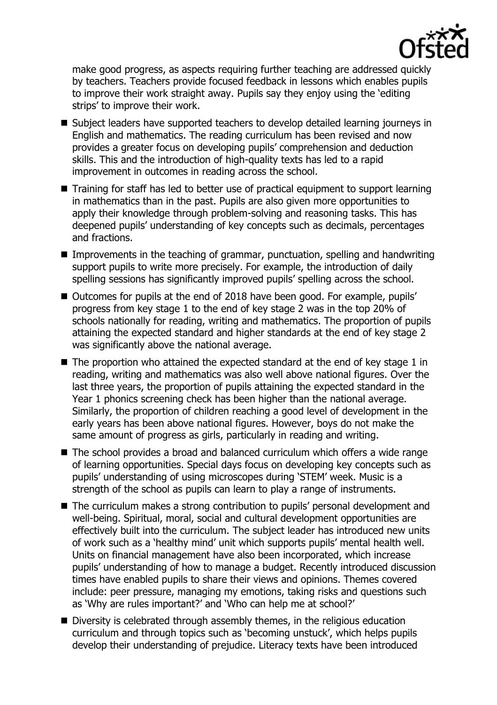

make good progress, as aspects requiring further teaching are addressed quickly by teachers. Teachers provide focused feedback in lessons which enables pupils to improve their work straight away. Pupils say they enjoy using the 'editing strips' to improve their work.

- Subject leaders have supported teachers to develop detailed learning journeys in English and mathematics. The reading curriculum has been revised and now provides a greater focus on developing pupils' comprehension and deduction skills. This and the introduction of high-quality texts has led to a rapid improvement in outcomes in reading across the school.
- Training for staff has led to better use of practical equipment to support learning in mathematics than in the past. Pupils are also given more opportunities to apply their knowledge through problem-solving and reasoning tasks. This has deepened pupils' understanding of key concepts such as decimals, percentages and fractions.
- **IMProvements in the teaching of grammar, punctuation, spelling and handwriting** support pupils to write more precisely. For example, the introduction of daily spelling sessions has significantly improved pupils' spelling across the school.
- Outcomes for pupils at the end of 2018 have been good. For example, pupils' progress from key stage 1 to the end of key stage 2 was in the top 20% of schools nationally for reading, writing and mathematics. The proportion of pupils attaining the expected standard and higher standards at the end of key stage 2 was significantly above the national average.
- $\blacksquare$  The proportion who attained the expected standard at the end of key stage 1 in reading, writing and mathematics was also well above national figures. Over the last three years, the proportion of pupils attaining the expected standard in the Year 1 phonics screening check has been higher than the national average. Similarly, the proportion of children reaching a good level of development in the early years has been above national figures. However, boys do not make the same amount of progress as girls, particularly in reading and writing.
- The school provides a broad and balanced curriculum which offers a wide range of learning opportunities. Special days focus on developing key concepts such as pupils' understanding of using microscopes during 'STEM' week. Music is a strength of the school as pupils can learn to play a range of instruments.
- The curriculum makes a strong contribution to pupils' personal development and well-being. Spiritual, moral, social and cultural development opportunities are effectively built into the curriculum. The subject leader has introduced new units of work such as a 'healthy mind' unit which supports pupils' mental health well. Units on financial management have also been incorporated, which increase pupils' understanding of how to manage a budget. Recently introduced discussion times have enabled pupils to share their views and opinions. Themes covered include: peer pressure, managing my emotions, taking risks and questions such as 'Why are rules important?' and 'Who can help me at school?'
- Diversity is celebrated through assembly themes, in the religious education curriculum and through topics such as 'becoming unstuck', which helps pupils develop their understanding of prejudice. Literacy texts have been introduced